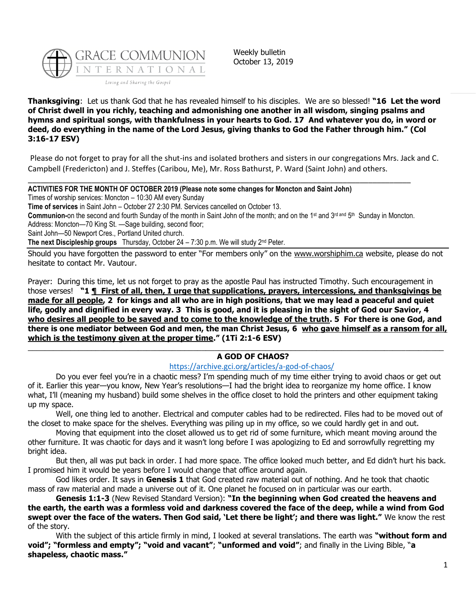

Weekly bulletin October 13, 2019

**Thanksgiving**: Let us thank God that he has revealed himself to his disciples. We are so blessed! **"16 Let the word of Christ dwell in you richly, teaching and admonishing one another in all wisdom, singing psalms and hymns and spiritual songs, with thankfulness in your hearts to God. 17 And whatever you do, in word or deed, do everything in the name of the Lord Jesus, giving thanks to God the Father through him." (Col 3:16-17 ESV)**

Please do not forget to pray for all the shut-ins and isolated brothers and sisters in our congregations Mrs. Jack and C. Campbell (Fredericton) and J. Steffes (Caribou, Me), Mr. Ross Bathurst, P. Ward (Saint John) and others.

**ACTIVITIES FOR THE MONTH OF OCTOBER 2019 (Please note some changes for Moncton and Saint John)**

Times of worship services: Moncton – 10:30 AM every Sunday

**Time of services** in Saint John – October 27 2:30 PM. Services cancelled on October 13.

Communion-on the second and fourth Sunday of the month in Saint John of the month; and on the 1<sup>st</sup> and 3<sup>rd and</sup> 5<sup>th</sup> Sunday in Moncton.

\_\_\_\_\_\_\_\_\_\_\_\_\_\_\_\_\_\_\_\_\_\_\_\_\_\_\_\_\_\_\_\_\_\_\_\_\_\_\_\_\_\_\_\_\_\_\_\_\_\_\_\_\_\_\_\_\_\_\_\_\_\_\_\_\_\_\_\_\_\_\_\_\_\_\_\_\_\_\_\_\_\_\_\_\_\_\_\_\_\_

Address: Moncton—70 King St. —Sage building, second floor;

Saint John—50 Newport Cres., Portland United church.

**The next Discipleship groups** Thursday, October 24 – 7:30 p.m. We will study 2nd Peter.

Should you have forgotten the password to enter "For members only" on the [www.worshiphim.ca](http://www.worshiphim.ca/) website, please do not hesitate to contact Mr. Vautour.

Prayer: During this time, let us not forget to pray as the apostle Paul has instructed Timothy. Such encouragement in those verses! **"1 ¶ First of all, then, I urge that supplications, prayers, intercessions, and thanksgivings be made for all people, 2 for kings and all who are in high positions, that we may lead a peaceful and quiet life, godly and dignified in every way. 3 This is good, and it is pleasing in the sight of God our Savior, 4 who desires all people to be saved and to come to the knowledge of the truth. 5 For there is one God, and there is one mediator between God and men, the man Christ Jesus, 6 who gave himself as a ransom for all, which is the testimony given at the proper time." (1Ti 2:1-6 ESV)**

## $\_$  ,  $\_$  ,  $\_$  ,  $\_$  ,  $\_$  ,  $\_$  ,  $\_$  ,  $\_$  ,  $\_$  ,  $\_$  ,  $\_$  ,  $\_$  ,  $\_$  ,  $\_$  ,  $\_$  ,  $\_$  ,  $\_$  ,  $\_$  ,  $\_$  ,  $\_$  ,  $\_$  ,  $\_$  ,  $\_$  ,  $\_$  ,  $\_$  ,  $\_$  ,  $\_$  ,  $\_$  ,  $\_$  ,  $\_$  ,  $\_$  ,  $\_$  ,  $\_$  ,  $\_$  ,  $\_$  ,  $\_$  ,  $\_$  , **A GOD OF CHAOS?**

## <https://archive.gci.org/articles/a-god-of-chaos/>

Do you ever feel you're in a chaotic mess? I'm spending much of my time either trying to avoid chaos or get out of it. Earlier this year—you know, New Year's resolutions—I had the bright idea to reorganize my home office. I know what, I'll (meaning my husband) build some shelves in the office closet to hold the printers and other equipment taking up my space.

Well, one thing led to another. Electrical and computer cables had to be redirected. Files had to be moved out of the closet to make space for the shelves. Everything was piling up in my office, so we could hardly get in and out.

Moving that equipment into the closet allowed us to get rid of some furniture, which meant moving around the other furniture. It was chaotic for days and it wasn't long before I was apologizing to Ed and sorrowfully regretting my bright idea.

But then, all was put back in order. I had more space. The office looked much better, and Ed didn't hurt his back. I promised him it would be years before I would change that office around again.

God likes order. It says in **Genesis 1** that God created raw material out of nothing. And he took that chaotic mass of raw material and made a universe out of it. One planet he focused on in particular was our earth.

**Genesis 1:1-3** (New Revised Standard Version): **"In the beginning when God created the heavens and the earth, the earth was a formless void and darkness covered the face of the deep, while a wind from God swept over the face of the waters. Then God said, 'Let there be light'; and there was light."** We know the rest of the story.

With the subject of this article firmly in mind, I looked at several translations. The earth was **"without form and void"; "formless and empty"; "void and vacant"**; **"unformed and void"**; and finally in the Living Bible, "**a shapeless, chaotic mass."**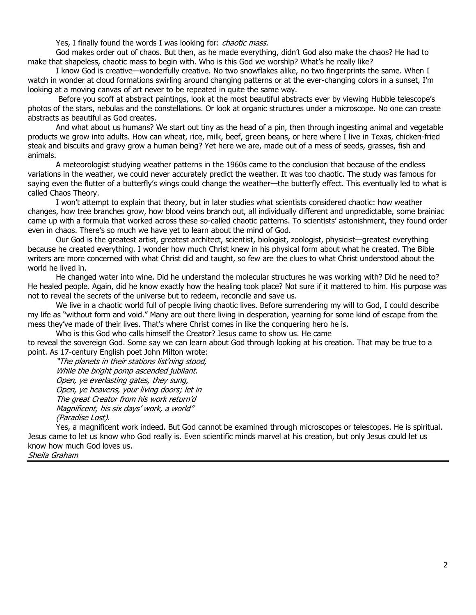Yes, I finally found the words I was looking for: *chaotic mass.* 

God makes order out of chaos. But then, as he made everything, didn't God also make the chaos? He had to make that shapeless, chaotic mass to begin with. Who is this God we worship? What's he really like?

I know God is creative—wonderfully creative. No two snowflakes alike, no two fingerprints the same. When I watch in wonder at cloud formations swirling around changing patterns or at the ever-changing colors in a sunset, I'm looking at a moving canvas of art never to be repeated in quite the same way.

Before you scoff at abstract paintings, look at the most beautiful abstracts ever by viewing Hubble telescope's photos of the stars, nebulas and the constellations. Or look at organic structures under a microscope. No one can create abstracts as beautiful as God creates.

And what about us humans? We start out tiny as the head of a pin, then through ingesting animal and vegetable products we grow into adults. How can wheat, rice, milk, beef, green beans, or here where I live in Texas, chicken-fried steak and biscuits and gravy grow a human being? Yet here we are, made out of a mess of seeds, grasses, fish and animals.

A meteorologist studying weather patterns in the 1960s came to the conclusion that because of the endless variations in the weather, we could never accurately predict the weather. It was too chaotic. The study was famous for saying even the flutter of a butterfly's wings could change the weather—the butterfly effect. This eventually led to what is called Chaos Theory.

I won't attempt to explain that theory, but in later studies what scientists considered chaotic: how weather changes, how tree branches grow, how blood veins branch out, all individually different and unpredictable, some brainiac came up with a formula that worked across these so-called chaotic patterns. To scientists' astonishment, they found order even in chaos. There's so much we have yet to learn about the mind of God.

Our God is the greatest artist, greatest architect, scientist, biologist, zoologist, physicist—greatest everything because he created everything. I wonder how much Christ knew in his physical form about what he created. The Bible writers are more concerned with what Christ did and taught, so few are the clues to what Christ understood about the world he lived in.

He changed water into wine. Did he understand the molecular structures he was working with? Did he need to? He healed people. Again, did he know exactly how the healing took place? Not sure if it mattered to him. His purpose was not to reveal the secrets of the universe but to redeem, reconcile and save us.

We live in a chaotic world full of people living chaotic lives. Before surrendering my will to God, I could describe my life as "without form and void." Many are out there living in desperation, yearning for some kind of escape from the mess they've made of their lives. That's where Christ comes in like the conquering hero he is.

Who is this God who calls himself the Creator? Jesus came to show us. He came

to reveal the sovereign God. Some say we can learn about God through looking at his creation. That may be true to a point. As 17-century English poet John Milton wrote:

"The planets in their stations list'ning stood, While the bright pomp ascended jubilant. Open, ye everlasting gates, they sung, Open, ye heavens, your living doors; let in The great Creator from his work return'd Magnificent, his six days' work, a world" (Paradise Lost).

Yes, a magnificent work indeed. But God cannot be examined through microscopes or telescopes. He is spiritual. Jesus came to let us know who God really is. Even scientific minds marvel at his creation, but only Jesus could let us know how much God loves us.

Sheila Graham